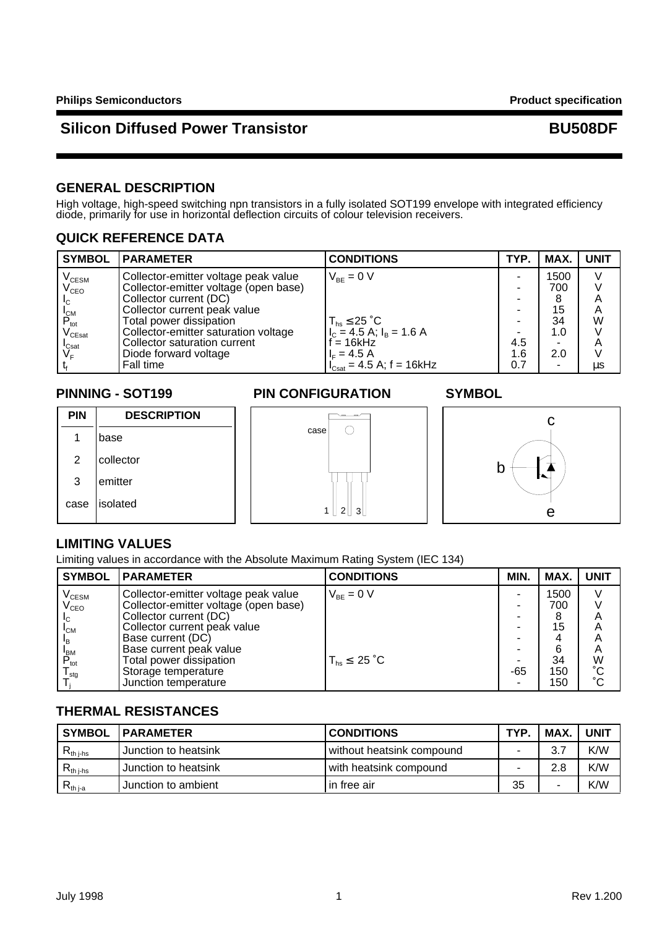### **GENERAL DESCRIPTION**

High voltage, high-speed switching npn transistors in a fully isolated SOT199 envelope with integrated efficiency diode, primarily for use in horizontal deflection circuits of colour television receivers.

### **QUICK REFERENCE DATA**

| <b>SYMBOL</b>                                                                              | <b>PARAMETER</b>                                                                                                                                                                                                                           | <b>CONDITIONS</b>                                                                                                                  | TYP. | MAX.                                                            | <b>UNIT</b>           |
|--------------------------------------------------------------------------------------------|--------------------------------------------------------------------------------------------------------------------------------------------------------------------------------------------------------------------------------------------|------------------------------------------------------------------------------------------------------------------------------------|------|-----------------------------------------------------------------|-----------------------|
| V <sub>CESM</sub><br>V <sub>CEO</sub><br><sub>IC</sub><br>$P_{\rm tot}$<br>$V_{\rm CEsat}$ | Collector-emitter voltage peak value<br>Collector-emitter voltage (open base)<br>Collector current (DC)<br>Collector current peak value<br>Total power dissipation<br>Collector-emitter saturation voltage<br>Collector saturation current | $V_{BF} = 0 V$<br>$T_{hs} \leq 25 \text{ °C}$<br>$I_{c} = 4.5 \text{ A}; I_{B} = 1.6 \text{ A}$<br>$\check{f}$ = 16kHz $\check{f}$ | 4.5  | 1500<br>700<br>8<br>15<br>34<br>1.0<br>$\overline{\phantom{0}}$ | V<br>Α<br>A<br>W<br>Α |
| $V_{\text{F}}^{\text{Sat}}$                                                                | Diode forward voltage                                                                                                                                                                                                                      | $I_F = 4.5 A$                                                                                                                      | 1.6  | 2.0                                                             |                       |
|                                                                                            | Fall time                                                                                                                                                                                                                                  | $I_{\text{Csat}} = 4.5 \text{ A}; f = 16 \text{ kHz}$                                                                              | 0.7  | -                                                               | μs                    |

1 base

2 collector

3 emitter case lisolated

**PIN DESCRIPTION**

# **PINNING - SOT199 PIN CONFIGURATION SYMBOL**

# $\bigcirc$ case 1 2 3





# **LIMITING VALUES**

Limiting values in accordance with the Absolute Maximum Rating System (IEC 134)

| <b>SYMBOL</b>                     | <b>PARAMETER</b>                      | <b>CONDITIONS</b>     | MIN. | MAX. | <b>UNIT</b>     |
|-----------------------------------|---------------------------------------|-----------------------|------|------|-----------------|
| $\mathsf{V}_{\text{\tiny{CESM}}}$ | Collector-emitter voltage peak value  | $V_{BF} = 0 V$        |      | 1500 | V               |
| $\mathsf{V}_{\mathsf{CEO}}$       | Collector-emitter voltage (open base) |                       |      | 700  |                 |
| <sup>1</sup> C                    | Collector current (DC)                |                       |      |      | A               |
| $I_{CM}$                          | Collector current peak value          |                       |      | 15   | Α               |
|                                   | Base current (DC)                     |                       |      |      | Α               |
| <b>BM</b>                         | Base current peak value               |                       |      |      | A               |
| $P_{\text{tot}}$                  | Total power dissipation               | $T_{hs}$ $\leq$ 25 °C |      | 34   | W               |
| $\mathsf{I}$ stg                  | Storage temperature                   |                       | -65  | 150  | $\rm ^{\circ}C$ |
|                                   | Junction temperature                  |                       |      | 150  | $\mathrm{C}$    |

### **THERMAL RESISTANCES**

| SYMBOL                             | <b>IPARAMETER</b>    | <b>CONDITIONS</b>         | TYP. | MAX. | <b>UNIT</b> |
|------------------------------------|----------------------|---------------------------|------|------|-------------|
| $\mathcal{F}_{\text{th}}$ i-hs     | Junction to heatsink | without heatsink compound |      |      | K/W         |
| $\mathbf{\tau}_{\mathsf{th}}$ i-hs | Junction to heatsink | with heatsink compound    |      | 2.8  | K/W         |
| $R_{th\,ja}$                       | Junction to ambient  | in free air               | 35   | -    | K/W         |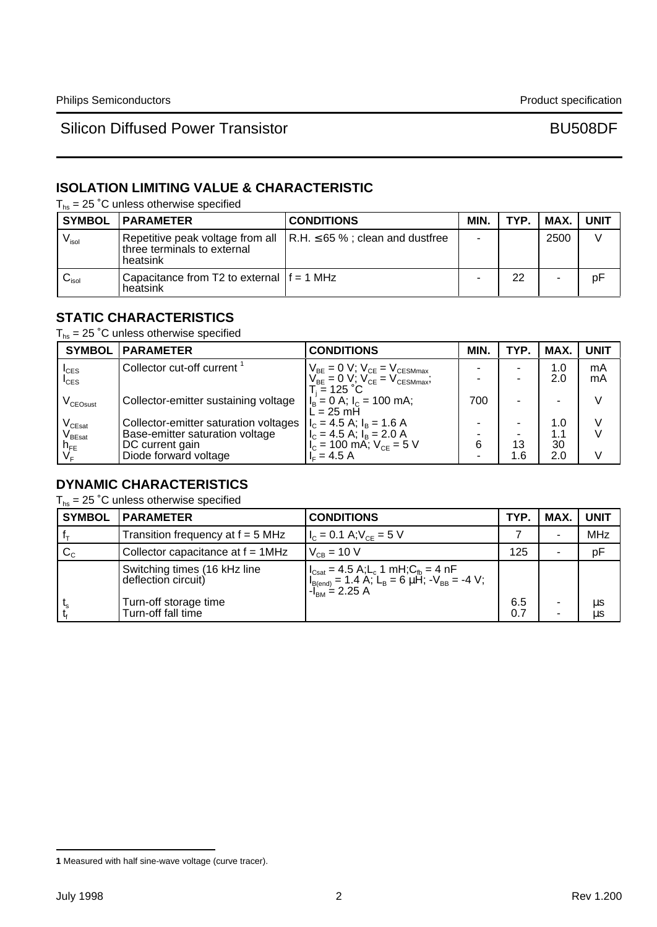# **ISOLATION LIMITING VALUE & CHARACTERISTIC**

 $T_{hs}$  = 25 °C unless otherwise specified

|                                              | <b>SYMBOL   PARAMETER</b>                                | <b>CONDITIONS</b>                                                             | MIN. | TYP. | MAX. | <b>UNIT</b> |
|----------------------------------------------|----------------------------------------------------------|-------------------------------------------------------------------------------|------|------|------|-------------|
| $V_{\sf isol}$                               | three terminals to external<br>heatsink                  | Repetitive peak voltage from all $\vert$ R.H. $\leq$ 65 %; clean and dustfree |      |      | 2500 |             |
| $\mathord{\cup}_{\mathord{\text{\rm isol}}}$ | Capacitance from T2 to external $ f = 1$ MHz<br>heatsink |                                                                               |      | 22   |      | pF          |

### **STATIC CHARACTERISTICS**

 $T_{hs}$  = 25 °C unless otherwise specified

| SYMBOL                                 | <b>PARAMETER</b>                      | <b>CONDITIONS</b>                                                                                                                                           | MIN. | TYP. | <b>MAX</b> | <b>UNIT</b> |
|----------------------------------------|---------------------------------------|-------------------------------------------------------------------------------------------------------------------------------------------------------------|------|------|------------|-------------|
| $I_{CES}$                              | Collector cut-off current             |                                                                                                                                                             |      |      | 1.0        | mA          |
| $I_{CES}$                              |                                       | $\begin{array}{c} V_{\text{BE}}=0 \text{ V};\ V_{\text{CE}}=V_{\text{CESMmax}}\\ V_{\text{BE}}=0 \text{ V};\ V_{\text{CE}}=V_{\text{CESMmax}}; \end{array}$ |      |      | 2.0        | mA          |
| V <sub>CEOsust</sub>                   | Collector-emitter sustaining voltage  | $T_i = 125 °C$<br>$I_B = 0$ A; $I_C = 100$ mA;<br>$\mathsf{L} = 25 \mathsf{m} \mathsf{H}$                                                                   | 700  |      | -          | v           |
| $V_{\text{CEsat}}$                     | Collector-emitter saturation voltages | $I_c = 4.5$ A; $I_B = 1.6$ A                                                                                                                                |      |      | 1.0        |             |
| $\mathsf{V}_{\mathsf{B}\mathsf{East}}$ | Base-emitter saturation voltage       | $\begin{cases} I_C = 4.5 \text{ A}; I_B = 2.0 \text{ A} \\ I_C = 100 \text{ mA}; V_{CE} = 5 \text{ V} \end{cases}$                                          |      |      | 1.1        |             |
|                                        | DC current gain                       |                                                                                                                                                             | 6    | 13   | 30         |             |
| h <sub>FE</sub><br>V <sub>F</sub>      | Diode forward voltage                 | $IE = 4.5 A$                                                                                                                                                |      | 1.6  | 2.0        | v           |

### **DYNAMIC CHARACTERISTICS**

 $T_{hs}$  = 25 °C unless otherwise specified

| SYMBOL  | <b>PARAMETER</b>                                    | <b>CONDITIONS</b>                                                                                                                                                                                                                                                          | TYP.       | MAX.   | <b>UNIT</b> |
|---------|-----------------------------------------------------|----------------------------------------------------------------------------------------------------------------------------------------------------------------------------------------------------------------------------------------------------------------------------|------------|--------|-------------|
|         | Transition frequency at $f = 5$ MHz                 | $I_c = 0.1$ A; $V_{cF} = 5$ V                                                                                                                                                                                                                                              |            |        | <b>MHz</b>  |
| $C_{C}$ | Collector capacitance at $f = 1$ MHz                | $V_{CB} = 10 V$                                                                                                                                                                                                                                                            | 125        | ۰      | pF          |
|         | Switching times (16 kHz line<br>deflection circuit) | $\left  \begin{array}{l l} I_{\text{Csat}}=4.5 \text{ A}; L_{\text{c}} 1 \text{ m}H; C_{\text{fb}}=4 \text{ n}F \\ I_{\text{B(end)}}=1.4 \text{ A}; L_{\text{B}}=6 \text{ }\mu\text{H}; -V_{\text{BB}}=-4 \text{ V}; \\ -I_{\text{BM}}=2.25 \text{ A} \end{array} \right $ |            |        |             |
|         | Turn-off storage time<br>Turn-off fall time         |                                                                                                                                                                                                                                                                            | 6.5<br>0.7 | ۰<br>۰ | μs<br>μs    |

**<sup>1</sup>** Measured with half sine-wave voltage (curve tracer).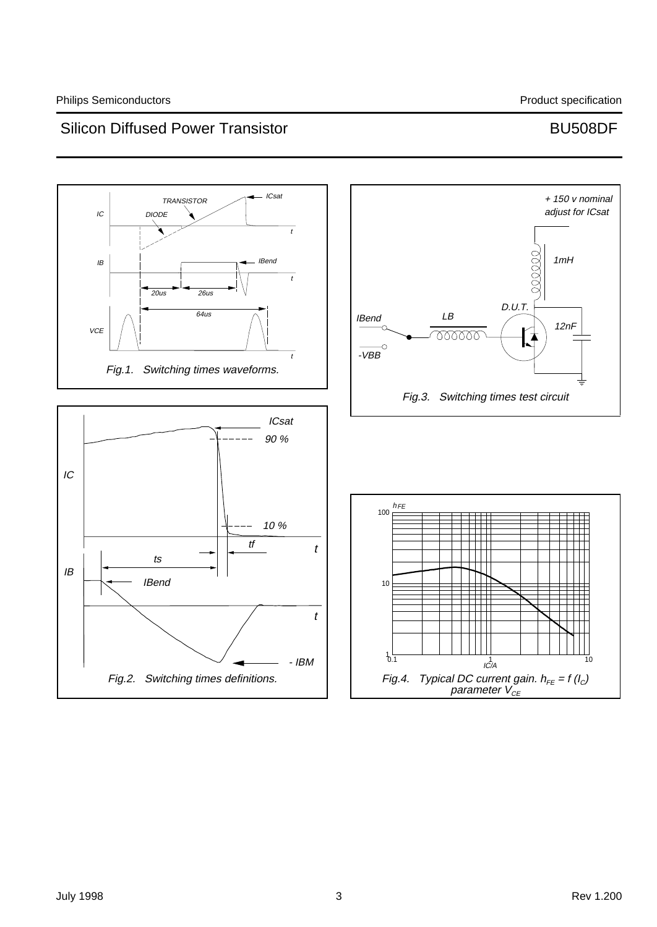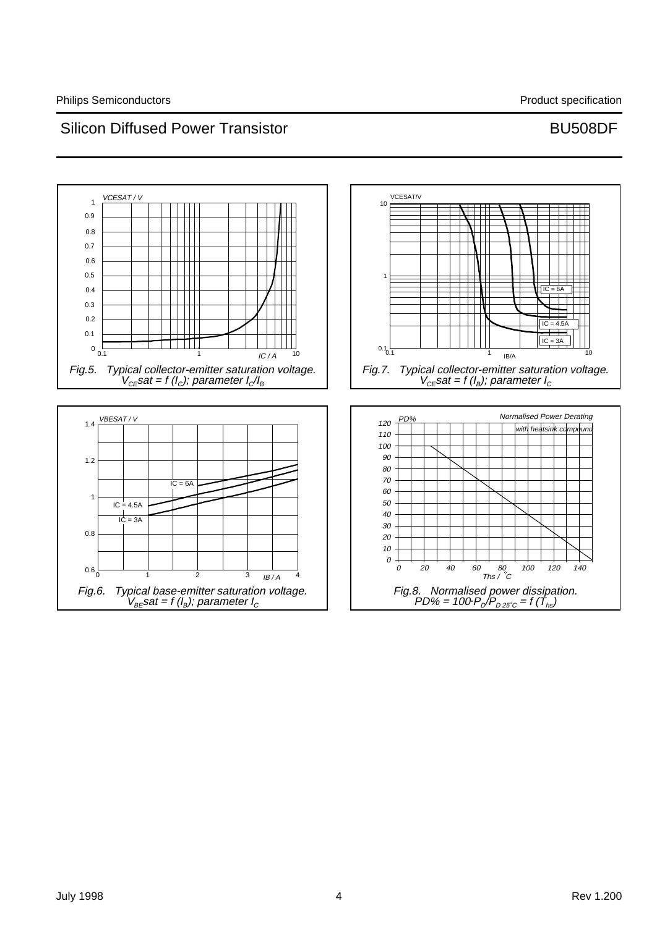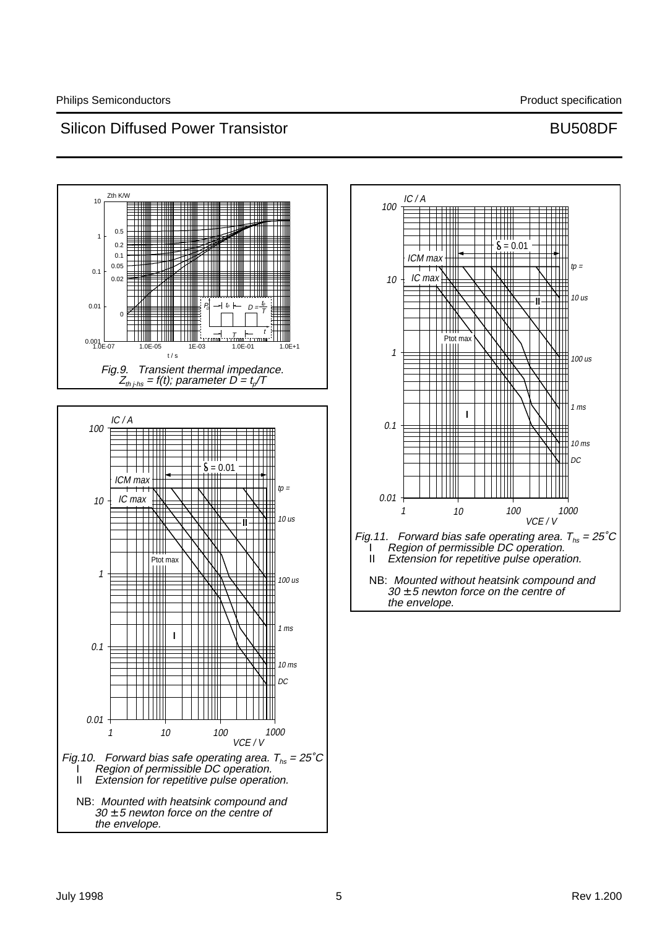

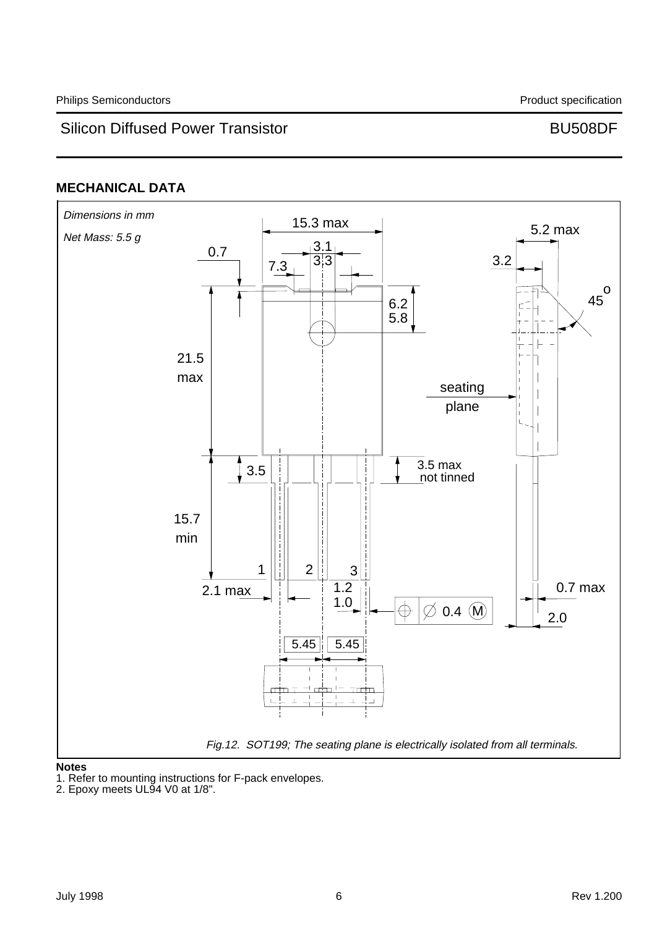### **MECHANICAL DATA**



### **Notes**

1. Refer to mounting instructions for F-pack envelopes.

<sup>2.</sup> Epoxy meets UL94 V0 at 1/8".